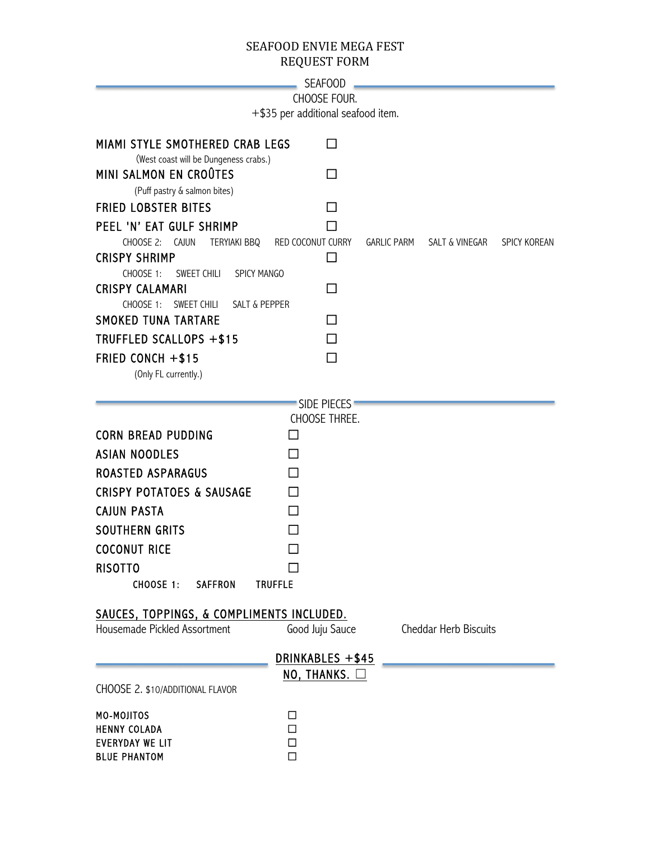## SEAFOOD ENVIE MEGA FEST REQUEST FORM

| SEAFOOD |
|---------|
|---------|

CHOOSE FOUR.

+\$35 per additional seafood item.

| MIAMI STYLE SMOTHERED CRAB LEGS<br>(West coast will be Dungeness crabs.)<br>MINI SALMON EN CROÛTES<br>(Puff pastry & salmon bites)<br><b>FRIED LOBSTER BITES</b><br>PEEL 'N' EAT GULF SHRIMP<br>CHOOSE 2:<br>CAJUN<br>TERYIAKI BBQ<br><b>CRISPY SHRIMP</b><br><b>CHOOSE 1:</b><br>SWEET CHILI<br><b>SPICY MANGO</b><br><b>CRISPY CALAMARI</b><br>CHOOSE 1:<br>SWEET CHILI<br><b>SALT &amp; PEPPER</b><br><b>SMOKED TUNA TARTARE</b><br>TRUFFLED SCALLOPS +\$15<br>FRIED CONCH +\$15<br>(Only FL currently.) | RED COCONUT CURRY                                                  | ΙI<br>$\mathsf{L}$<br>$\Box$<br>$\mathsf{L}$<br>□<br>П<br>П | GARLIC PARM | SALT & VINEGAR        | <b>SPICY KOREAN</b> |
|-------------------------------------------------------------------------------------------------------------------------------------------------------------------------------------------------------------------------------------------------------------------------------------------------------------------------------------------------------------------------------------------------------------------------------------------------------------------------------------------------------------|--------------------------------------------------------------------|-------------------------------------------------------------|-------------|-----------------------|---------------------|
| <b>CORN BREAD PUDDING</b><br><b>ASIAN NOODLES</b><br><b>ROASTED ASPARAGUS</b><br><b>CRISPY POTATOES &amp; SAUSAGE</b><br><b>CAJUN PASTA</b><br><b>SOUTHERN GRITS</b><br><b>COCONUT RICE</b><br><b>RISOTTO</b><br><b>CHOOSE 1:</b><br><b>SAFFRON</b><br><b>TRUFFLE</b>                                                                                                                                                                                                                                       | <b>SIDE PIECES</b><br>CHOOSE THREE.<br>LΙ<br>П<br>П<br>П<br>П<br>П |                                                             |             |                       |                     |
| SAUCES, TOPPINGS, & COMPLIMENTS INCLUDED.<br>Housemade Pickled Assortment                                                                                                                                                                                                                                                                                                                                                                                                                                   | Good Juju Sauce<br>DRINKABLES +\$45<br>NO, THANKS. $\Box$          |                                                             |             | Cheddar Herb Biscuits |                     |
| CHOOSE 2. \$10/ADDITIONAL FLAVOR<br>MO-MOJITOS<br><b>HENNY COLADA</b><br><b>EVERYDAY WE LIT</b><br><b>BLUE PHANTOM</b>                                                                                                                                                                                                                                                                                                                                                                                      | □<br>□<br>$\Box$<br>$\Box$                                         |                                                             |             |                       |                     |